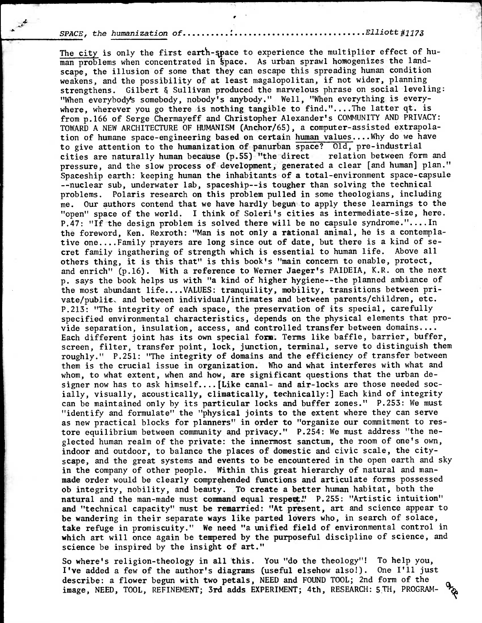## SPACE, the humanization of Elliott#1173

The city is only the first earth-space to experience the multiplier effect of human problems when concentrated in space. As urban sprawl homogenizes the landscape, the illusion of some that they can escape this spreading human condition weakens, and the possibility of at least magalopolitan, if not wider, planning strengthens. Gilbert & Sullivan produced the marvelous phrase on social leveling: "When everybody's somebody, nobody's anybody." Well, "When everything is everywhere, wherever you go there is nothing tangible to find."....The latter  $qt.$  is from p.166 of Serge Chermayeff and Christopher Alexander's COMMUNITY AND PRIVACY: TOWARD A NEW ARCHITECTURE OF HUMANISM (Anchor/65), a computer-assisted extrapolation of humane space-engineering based on certain human values....Why do we have to give attention to the humanization of panurban space? Old, pre-industrial cities are naturally human because (p.55) "the direct relation between form and pressure, and the slow process of development, generated a clear [and human] plan." Spaceship earth: keeping human the inhabitants of a total-environment space-capsule --nuclear sub, underwater lab, spaceship--is tougher than solving the technical problems. Polaris research on this problem pulled in some theologians, including me. Our authors contend that we have hardly begun to apply these learnings to the "open" space of the world. I think of Soleri's cities as intermediate-size, here. P.47: "If the design problem is solved there will be no capsule syndrome."....In the foreword, Ken. Rexroth: "Man is not only a rational animal, he is a contemplative one....Family prayers are long since out of date, but there is a kind of secret family ingathering of strength which is essential to human life. Above all others thing, it is this that" is this book's "main concern to enable, protect, and enrich" (p.16). With a reference to Werner Jaeger's PAIDEIA, K.R. on the next p. says the book helps us with "a kind of higher hygiene--the planned ambiance of the most abundant life....VALUES: tranquility, mobility, transitions between private/public, and between individual/intimates and between parents/children, etc. P.213: "The integrity of each space, the preservation of its special, carefully specified environmental characteristics, depends on the physical elements that provide separation, insulation, access, and controlled transfer between domains.... Each different joint has its own special **form.** Terms like baffle, barrier, buffer, screen, filter, transfer point, lock, junction, terminal, serve to distinguish them roughly." P.251: "The integrity of domains and the efficiency of transfer between them is the crucial issue in organization. Who and what interferes with what and whom, to what extent, when and how, are significant questions that the urban designer now has to ask himself....[Like canal- and air-locks are those needed socially, visually, acoustically, climatically, technically:] Each kind of integrity can be maintained only by its particular locks and buffer zones." P.253: We must "identify and formulate" the "physical joints to the extent where they can serve as new practical blocks for planners" in order to "organize our commitment to restore equilibrium between community and privacy." P.254: We must address "the neglected human realm of the private: the innermost sanctum, the room of one's own, indoor and outdoor, to balance the places of domestic and civic scale, the cityscape, and the great systems and events to be encountered in the open earth and sky in the company of other people. Within this great hierarchy of natural and manmade **order** would be clearly comprehended functions and articulate forms possessed **ob integrity, nobility, and beauty. To create a better human habitat, both the natural** and the man-made must **command equal respect!! P.255: "Artistic intuition" and "technical capacity" must be remarried: "At present, art and science appear to be wandering in their separate ways like parted lovers who, in search of solace, take refuge in promiscuity." We need "a unified field of environmental control in which art will once again be tempered by the purposeful discipline of science, and science be inspired by the insight of art."** 

**So where's religion-theology in all •his. You "do the theology"! To help you, I've added a few of the author's diagrams (useful elsehow also!). One I'll just describe: a flower begun with two petals, NEED and FOUND TOOL; 2nd form of the image, NEED, TOOL, REFINEMENT; 3rd adds EXPERIMENT; 4th, RESEARCH: 5TH, PROGRAM-**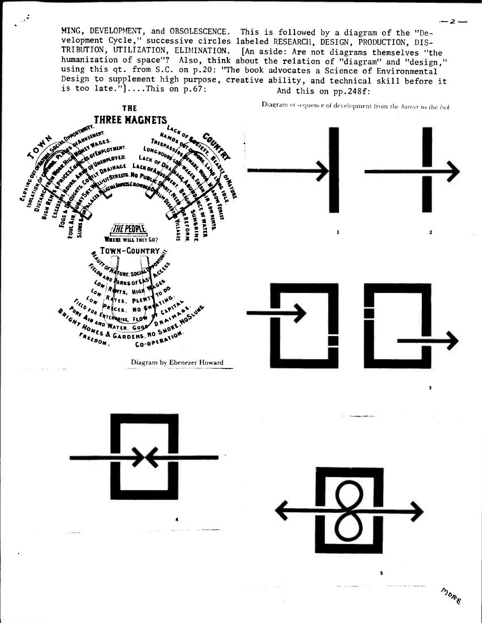MING, DEVELOPMENT, and OBSOLESCENCE. This is followed by a diagram of the "Development Cycle," successive circles labeled RESEARCH, DESIGN, PRODUCTION, DIS-TRIBUTION, UTILIZATION, ELIMINATION. [An aside: Are not diagrams themselves "the humanization of space"? Also, think about the relation of "diagram" and "design," using this qt. from S.C. on p.20: "The book advocates a Science of Environmental Design to supplement high purpose, creative ability, and technical skill before it is too late."]....This on  $p.67$ : And this on pp.248f: